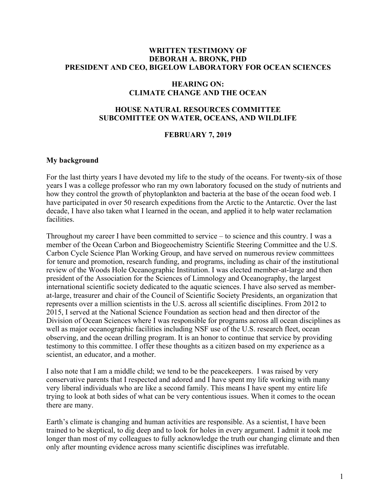## **WRITTEN TESTIMONY OF DEBORAH A. BRONK, PHD PRESIDENT AND CEO, BIGELOW LABORATORY FOR OCEAN SCIENCES**

## **HEARING ON: CLIMATE CHANGE AND THE OCEAN**

#### **HOUSE NATURAL RESOURCES COMMITTEE SUBCOMITTEE ON WATER, OCEANS, AND WILDLIFE**

#### **FEBRUARY 7, 2019**

#### **My background**

For the last thirty years I have devoted my life to the study of the oceans. For twenty-six of those years I was a college professor who ran my own laboratory focused on the study of nutrients and how they control the growth of phytoplankton and bacteria at the base of the ocean food web. I have participated in over 50 research expeditions from the Arctic to the Antarctic. Over the last decade, I have also taken what I learned in the ocean, and applied it to help water reclamation facilities.

Throughout my career I have been committed to service – to science and this country. I was a member of the Ocean Carbon and Biogeochemistry Scientific Steering Committee and the U.S. Carbon Cycle Science Plan Working Group, and have served on numerous review committees for tenure and promotion, research funding, and programs, including as chair of the institutional review of the Woods Hole Oceanographic Institution. I was elected member-at-large and then president of the Association for the Sciences of Limnology and Oceanography, the largest international scientific society dedicated to the aquatic sciences. I have also served as memberat-large, treasurer and chair of the Council of Scientific Society Presidents, an organization that represents over a million scientists in the U.S. across all scientific disciplines. From 2012 to 2015, I served at the National Science Foundation as section head and then director of the Division of Ocean Sciences where I was responsible for programs across all ocean disciplines as well as major oceanographic facilities including NSF use of the U.S. research fleet, ocean observing, and the ocean drilling program. It is an honor to continue that service by providing testimony to this committee. I offer these thoughts as a citizen based on my experience as a scientist, an educator, and a mother.

I also note that I am a middle child; we tend to be the peacekeepers. I was raised by very conservative parents that I respected and adored and I have spent my life working with many very liberal individuals who are like a second family. This means I have spent my entire life trying to look at both sides of what can be very contentious issues. When it comes to the ocean there are many.

Earth's climate is changing and human activities are responsible. As a scientist, I have been trained to be skeptical, to dig deep and to look for holes in every argument. I admit it took me longer than most of my colleagues to fully acknowledge the truth our changing climate and then only after mounting evidence across many scientific disciplines was irrefutable.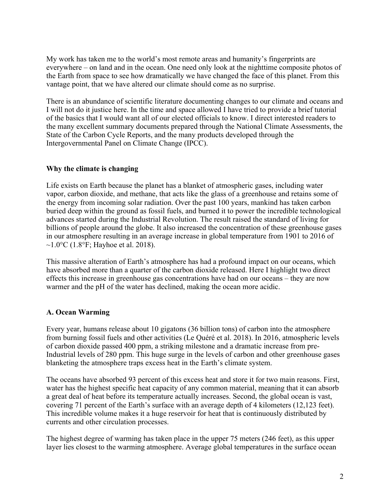My work has taken me to the world's most remote areas and humanity's fingerprints are everywhere – on land and in the ocean. One need only look at the nighttime composite photos of the Earth from space to see how dramatically we have changed the face of this planet. From this vantage point, that we have altered our climate should come as no surprise.

There is an abundance of scientific literature documenting changes to our climate and oceans and I will not do it justice here. In the time and space allowed I have tried to provide a brief tutorial of the basics that I would want all of our elected officials to know. I direct interested readers to the many excellent summary documents prepared through the National Climate Assessments, the State of the Carbon Cycle Reports, and the many products developed through the Intergovernmental Panel on Climate Change (IPCC).

## **Why the climate is changing**

Life exists on Earth because the planet has a blanket of atmospheric gases, including water vapor, carbon dioxide, and methane, that acts like the glass of a greenhouse and retains some of the energy from incoming solar radiation. Over the past 100 years, mankind has taken carbon buried deep within the ground as fossil fuels, and burned it to power the incredible technological advances started during the Industrial Revolution. The result raised the standard of living for billions of people around the globe. It also increased the concentration of these greenhouse gases in our atmosphere resulting in an average increase in global temperature from 1901 to 2016 of ~1.0 $\rm ^{\circ}C$  (1.8 $\rm ^{\circ}F$ ; Hayhoe et al. 2018).

This massive alteration of Earth's atmosphere has had a profound impact on our oceans, which have absorbed more than a quarter of the carbon dioxide released. Here I highlight two direct effects this increase in greenhouse gas concentrations have had on our oceans – they are now warmer and the pH of the water has declined, making the ocean more acidic.

# **A. Ocean Warming**

Every year, humans release about 10 gigatons (36 billion tons) of carbon into the atmosphere from burning fossil fuels and other activities (Le Quéré et al. 2018). In 2016, atmospheric levels of carbon dioxide passed 400 ppm, a striking milestone and a dramatic increase from pre-Industrial levels of 280 ppm. This huge surge in the levels of carbon and other greenhouse gases blanketing the atmosphere traps excess heat in the Earth's climate system.

The oceans have absorbed 93 percent of this excess heat and store it for two main reasons. First, water has the highest specific heat capacity of any common material, meaning that it can absorb a great deal of heat before its temperature actually increases. Second, the global ocean is vast, covering 71 percent of the Earth's surface with an average depth of 4 kilometers (12,123 feet). This incredible volume makes it a huge reservoir for heat that is continuously distributed by currents and other circulation processes.

The highest degree of warming has taken place in the upper 75 meters (246 feet), as this upper layer lies closest to the warming atmosphere. Average global temperatures in the surface ocean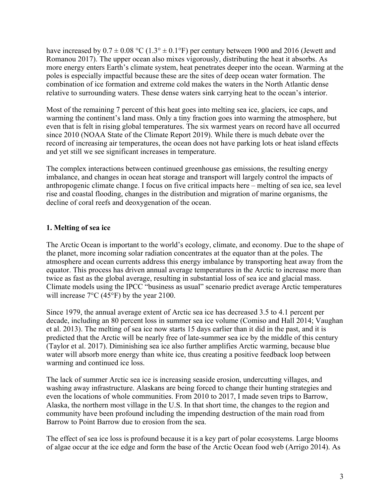have increased by  $0.7 \pm 0.08$  °C (1.3°  $\pm$  0.1°F) per century between 1900 and 2016 (Jewett and Romanou 2017). The upper ocean also mixes vigorously, distributing the heat it absorbs. As more energy enters Earth's climate system, heat penetrates deeper into the ocean. Warming at the poles is especially impactful because these are the sites of deep ocean water formation. The combination of ice formation and extreme cold makes the waters in the North Atlantic dense relative to surrounding waters. These dense waters sink carrying heat to the ocean's interior.

Most of the remaining 7 percent of this heat goes into melting sea ice, glaciers, ice caps, and warming the continent's land mass. Only a tiny fraction goes into warming the atmosphere, but even that is felt in rising global temperatures. The six warmest years on record have all occurred since 2010 (NOAA State of the Climate Report 2019). While there is much debate over the record of increasing air temperatures, the ocean does not have parking lots or heat island effects and yet still we see significant increases in temperature.

The complex interactions between continued greenhouse gas emissions, the resulting energy imbalance, and changes in ocean heat storage and transport will largely control the impacts of anthropogenic climate change. I focus on five critical impacts here – melting of sea ice, sea level rise and coastal flooding, changes in the distribution and migration of marine organisms, the decline of coral reefs and deoxygenation of the ocean.

# **1. Melting of sea ice**

The Arctic Ocean is important to the world's ecology, climate, and economy. Due to the shape of the planet, more incoming solar radiation concentrates at the equator than at the poles. The atmosphere and ocean currents address this energy imbalance by transporting heat away from the equator. This process has driven annual average temperatures in the Arctic to increase more than twice as fast as the global average, resulting in substantial loss of sea ice and glacial mass. Climate models using the IPCC "business as usual" scenario predict average Arctic temperatures will increase 7°C (45°F) by the year 2100.

Since 1979, the annual average extent of Arctic sea ice has decreased 3.5 to 4.1 percent per decade, including an 80 percent loss in summer sea ice volume (Comiso and Hall 2014; Vaughan et al. 2013). The melting of sea ice now starts 15 days earlier than it did in the past, and it is predicted that the Arctic will be nearly free of late-summer sea ice by the middle of this century (Taylor et al. 2017). Diminishing sea ice also further amplifies Arctic warming, because blue water will absorb more energy than white ice, thus creating a positive feedback loop between warming and continued ice loss.

The lack of summer Arctic sea ice is increasing seaside erosion, undercutting villages, and washing away infrastructure. Alaskans are being forced to change their hunting strategies and even the locations of whole communities. From 2010 to 2017, I made seven trips to Barrow, Alaska, the northern most village in the U.S. In that short time, the changes to the region and community have been profound including the impending destruction of the main road from Barrow to Point Barrow due to erosion from the sea.

The effect of sea ice loss is profound because it is a key part of polar ecosystems. Large blooms of algae occur at the ice edge and form the base of the Arctic Ocean food web (Arrigo 2014). As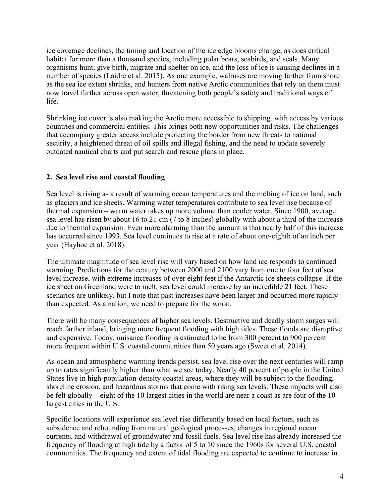ice coverage declines, the timing and location of the ice edge blooms change, as does critical habitat for more than a thousand species, including polar bears, seabirds, and seals. Many organisms hunt, give birth, migrate and shelter on ice, and the loss of ice is causing declines in a number of species (Laidre et al. 2015). As one example, walruses are moving farther from shore as the sea ice extent shrinks, and hunters from native Arctic communities that rely on them must now travel further across open water, threatening both people's safety and traditional ways of life.

Shrinking ice cover is also making the Arctic more accessible to shipping, with access by various countries and commercial entities. This brings both new opportunities and risks. The challenges that accompany greater access include protecting the border from new threats to national security, a heightened threat of oil spills and illegal fishing, and the need to update severely outdated nautical charts and put search and rescue plans in place.

# **2. Sea level rise and coastal flooding**

Sea level is rising as a result of warming ocean temperatures and the melting of ice on land, such as glaciers and ice sheets. Warming water temperatures contribute to sea level rise because of thermal expansion – warm water takes up more volume than cooler water. Since 1900, average sea level has risen by about 16 to 21 cm (7 to 8 inches) globally with about a third of the increase due to thermal expansion. Even more alarming than the amount is that nearly half of this increase has occurred since 1993. Sea level continues to rise at a rate of about one-eighth of an inch per year (Hayhoe et al. 2018).

The ultimate magnitude of sea level rise will vary based on how land ice responds to continued warming. Predictions for the century between 2000 and 2100 vary from one to four feet of sea level increase, with extreme increases of over eight feet if the Antarctic ice sheets collapse. If the ice sheet on Greenland were to melt, sea level could increase by an incredible 21 feet. These scenarios are unlikely, but I note that past increases have been larger and occurred more rapidly than expected. As a nation, we need to prepare for the worst.

There will be many consequences of higher sea levels. Destructive and deadly storm surges will reach farther inland, bringing more frequent flooding with high tides. These floods are disruptive and expensive. Today, nuisance flooding is estimated to be from 300 percent to 900 percent more frequent within U.S. coastal communities than 50 years ago (Sweet et al. 2014).

As ocean and atmospheric warming trends persist, sea level rise over the next centuries will ramp up to rates significantly higher than what we see today. Nearly 40 percent of people in the United States live in high-population-density coastal areas, where they will be subject to the flooding, shoreline erosion, and hazardous storms that come with rising sea levels. These impacts will also be felt globally – eight of the 10 largest cities in the world are near a coast as are four of the 10 largest cities in the U.S.

Specific locations will experience sea level rise differently based on local factors, such as subsidence and rebounding from natural geological processes, changes in regional ocean currents, and withdrawal of groundwater and fossil fuels. Sea level rise has already increased the frequency of flooding at high tide by a factor of 5 to 10 since the 1960s for several U.S. coastal communities. The frequency and extent of tidal flooding are expected to continue to increase in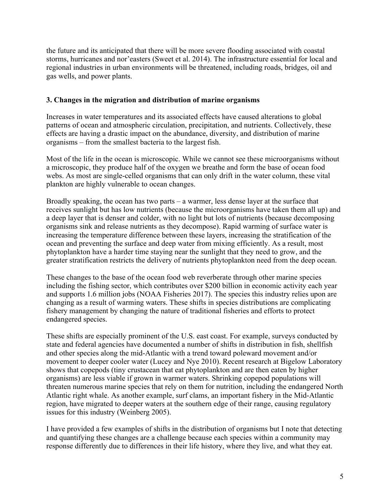the future and its anticipated that there will be more severe flooding associated with coastal storms, hurricanes and nor'easters (Sweet et al. 2014). The infrastructure essential for local and regional industries in urban environments will be threatened, including roads, bridges, oil and gas wells, and power plants.

## **3. Changes in the migration and distribution of marine organisms**

Increases in water temperatures and its associated effects have caused alterations to global patterns of ocean and atmospheric circulation, precipitation, and nutrients. Collectively, these effects are having a drastic impact on the abundance, diversity, and distribution of marine organisms – from the smallest bacteria to the largest fish.

Most of the life in the ocean is microscopic. While we cannot see these microorganisms without a microscopic, they produce half of the oxygen we breathe and form the base of ocean food webs. As most are single-celled organisms that can only drift in the water column, these vital plankton are highly vulnerable to ocean changes.

Broadly speaking, the ocean has two parts – a warmer, less dense layer at the surface that receives sunlight but has low nutrients (because the microorganisms have taken them all up) and a deep layer that is denser and colder, with no light but lots of nutrients (because decomposing organisms sink and release nutrients as they decompose). Rapid warming of surface water is increasing the temperature difference between these layers, increasing the stratification of the ocean and preventing the surface and deep water from mixing efficiently. As a result, most phytoplankton have a harder time staying near the sunlight that they need to grow, and the greater stratification restricts the delivery of nutrients phytoplankton need from the deep ocean.

These changes to the base of the ocean food web reverberate through other marine species including the fishing sector, which contributes over \$200 billion in economic activity each year and supports 1.6 million jobs (NOAA Fisheries 2017). The species this industry relies upon are changing as a result of warming waters. These shifts in species distributions are complicating fishery management by changing the nature of traditional fisheries and efforts to protect endangered species.

These shifts are especially prominent of the U.S. east coast. For example, surveys conducted by state and federal agencies have documented a number of shifts in distribution in fish, shellfish and other species along the mid-Atlantic with a trend toward poleward movement and/or movement to deeper cooler water (Lucey and Nye 2010). Recent research at Bigelow Laboratory shows that copepods (tiny crustacean that eat phytoplankton and are then eaten by higher organisms) are less viable if grown in warmer waters. Shrinking copepod populations will threaten numerous marine species that rely on them for nutrition, including the endangered North Atlantic right whale. As another example, surf clams, an important fishery in the Mid-Atlantic region, have migrated to deeper waters at the southern edge of their range, causing regulatory issues for this industry (Weinberg 2005).

I have provided a few examples of shifts in the distribution of organisms but I note that detecting and quantifying these changes are a challenge because each species within a community may response differently due to differences in their life history, where they live, and what they eat.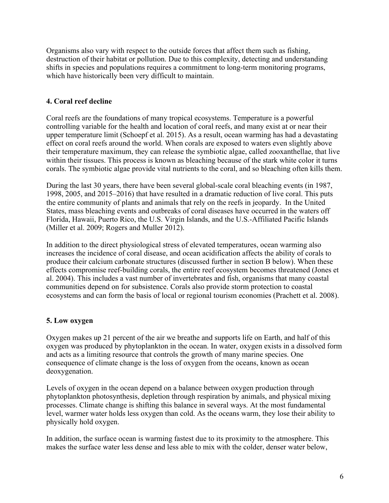Organisms also vary with respect to the outside forces that affect them such as fishing, destruction of their habitat or pollution. Due to this complexity, detecting and understanding shifts in species and populations requires a commitment to long-term monitoring programs, which have historically been very difficult to maintain.

# **4. Coral reef decline**

Coral reefs are the foundations of many tropical ecosystems. Temperature is a powerful controlling variable for the health and location of coral reefs, and many exist at or near their upper temperature limit (Schoepf et al. 2015). As a result, ocean warming has had a devastating effect on coral reefs around the world. When corals are exposed to waters even slightly above their temperature maximum, they can release the symbiotic algae, called zooxanthellae, that live within their tissues. This process is known as bleaching because of the stark white color it turns corals. The symbiotic algae provide vital nutrients to the coral, and so bleaching often kills them.

During the last 30 years, there have been several global-scale coral bleaching events (in 1987, 1998, 2005, and 2015–2016) that have resulted in a dramatic reduction of live coral. This puts the entire community of plants and animals that rely on the reefs in jeopardy. In the United States, mass bleaching events and outbreaks of coral diseases have occurred in the waters off Florida, Hawaii, Puerto Rico, the U.S. Virgin Islands, and the U.S.-Affiliated Pacific Islands (Miller et al. 2009; Rogers and Muller 2012).

In addition to the direct physiological stress of elevated temperatures, ocean warming also increases the incidence of coral disease, and ocean acidification affects the ability of corals to produce their calcium carbonate structures (discussed further in section B below). When these effects compromise reef-building corals, the entire reef ecosystem becomes threatened (Jones et al. 2004). This includes a vast number of invertebrates and fish, organisms that many coastal communities depend on for subsistence. Corals also provide storm protection to coastal ecosystems and can form the basis of local or regional tourism economies (Prachett et al. 2008).

# **5. Low oxygen**

Oxygen makes up 21 percent of the air we breathe and supports life on Earth, and half of this oxygen was produced by phytoplankton in the ocean. In water, oxygen exists in a dissolved form and acts as a limiting resource that controls the growth of many marine species. One consequence of climate change is the loss of oxygen from the oceans, known as ocean deoxygenation.

Levels of oxygen in the ocean depend on a balance between oxygen production through phytoplankton photosynthesis, depletion through respiration by animals, and physical mixing processes. Climate change is shifting this balance in several ways. At the most fundamental level, warmer water holds less oxygen than cold. As the oceans warm, they lose their ability to physically hold oxygen.

In addition, the surface ocean is warming fastest due to its proximity to the atmosphere. This makes the surface water less dense and less able to mix with the colder, denser water below,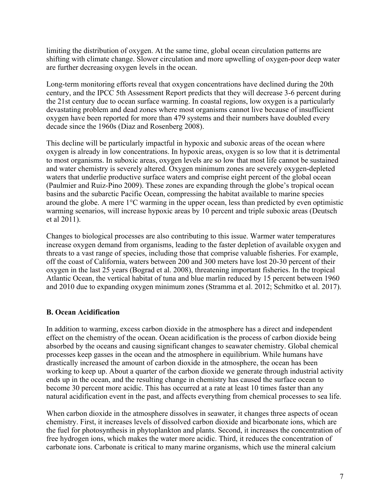limiting the distribution of oxygen. At the same time, global ocean circulation patterns are shifting with climate change. Slower circulation and more upwelling of oxygen-poor deep water are further decreasing oxygen levels in the ocean.

Long-term monitoring efforts reveal that oxygen concentrations have declined during the 20th century, and the IPCC 5th Assessment Report predicts that they will decrease 3-6 percent during the 21st century due to ocean surface warming. In coastal regions, low oxygen is a particularly devastating problem and dead zones where most organisms cannot live because of insufficient oxygen have been reported for more than 479 systems and their numbers have doubled every decade since the 1960s (Diaz and Rosenberg 2008).

This decline will be particularly impactful in hypoxic and suboxic areas of the ocean where oxygen is already in low concentrations. In hypoxic areas, oxygen is so low that it is detrimental to most organisms. In suboxic areas, oxygen levels are so low that most life cannot be sustained and water chemistry is severely altered. Oxygen minimum zones are severely oxygen-depleted waters that underlie productive surface waters and comprise eight percent of the global ocean (Paulmier and Ruiz-Pino 2009). These zones are expanding through the globe's tropical ocean basins and the subarctic Pacific Ocean, compressing the habitat available to marine species around the globe. A mere 1°C warming in the upper ocean, less than predicted by even optimistic warming scenarios, will increase hypoxic areas by 10 percent and triple suboxic areas (Deutsch et al 2011).

Changes to biological processes are also contributing to this issue. Warmer water temperatures increase oxygen demand from organisms, leading to the faster depletion of available oxygen and threats to a vast range of species, including those that comprise valuable fisheries. For example, off the coast of California, waters between 200 and 300 meters have lost 20-30 percent of their oxygen in the last 25 years (Bograd et al. 2008), threatening important fisheries. In the tropical Atlantic Ocean, the vertical habitat of tuna and blue marlin reduced by 15 percent between 1960 and 2010 due to expanding oxygen minimum zones (Stramma et al. 2012; Schmitko et al. 2017).

## **B. Ocean Acidification**

In addition to warming, excess carbon dioxide in the atmosphere has a direct and independent effect on the chemistry of the ocean. Ocean acidification is the process of carbon dioxide being absorbed by the oceans and causing significant changes to seawater chemistry. Global chemical processes keep gasses in the ocean and the atmosphere in equilibrium. While humans have drastically increased the amount of carbon dioxide in the atmosphere, the ocean has been working to keep up. About a quarter of the carbon dioxide we generate through industrial activity ends up in the ocean, and the resulting change in chemistry has caused the surface ocean to become 30 percent more acidic. This has occurred at a rate at least 10 times faster than any natural acidification event in the past, and affects everything from chemical processes to sea life.

When carbon dioxide in the atmosphere dissolves in seawater, it changes three aspects of ocean chemistry. First, it increases levels of dissolved carbon dioxide and bicarbonate ions, which are the fuel for photosynthesis in phytoplankton and plants. Second, it increases the concentration of free hydrogen ions, which makes the water more acidic. Third, it reduces the concentration of carbonate ions. Carbonate is critical to many marine organisms, which use the mineral calcium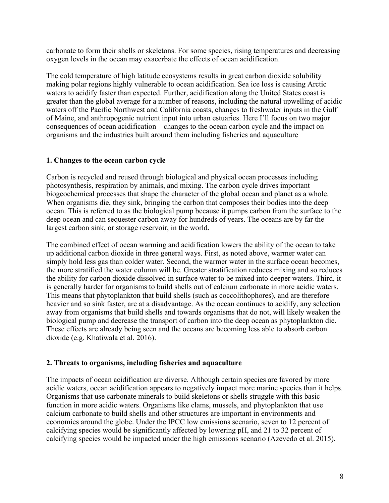carbonate to form their shells or skeletons. For some species, rising temperatures and decreasing oxygen levels in the ocean may exacerbate the effects of ocean acidification.

The cold temperature of high latitude ecosystems results in great carbon dioxide solubility making polar regions highly vulnerable to ocean acidification. Sea ice loss is causing Arctic waters to acidify faster than expected. Further, acidification along the United States coast is greater than the global average for a number of reasons, including the natural upwelling of acidic waters off the Pacific Northwest and California coasts, changes to freshwater inputs in the Gulf of Maine, and anthropogenic nutrient input into urban estuaries. Here I'll focus on two major consequences of ocean acidification – changes to the ocean carbon cycle and the impact on organisms and the industries built around them including fisheries and aquaculture

## **1. Changes to the ocean carbon cycle**

Carbon is recycled and reused through biological and physical ocean processes including photosynthesis, respiration by animals, and mixing. The carbon cycle drives important biogeochemical processes that shape the character of the global ocean and planet as a whole. When organisms die, they sink, bringing the carbon that composes their bodies into the deep ocean. This is referred to as the biological pump because it pumps carbon from the surface to the deep ocean and can sequester carbon away for hundreds of years. The oceans are by far the largest carbon sink, or storage reservoir, in the world.

The combined effect of ocean warming and acidification lowers the ability of the ocean to take up additional carbon dioxide in three general ways. First, as noted above, warmer water can simply hold less gas than colder water. Second, the warmer water in the surface ocean becomes, the more stratified the water column will be. Greater stratification reduces mixing and so reduces the ability for carbon dioxide dissolved in surface water to be mixed into deeper waters. Third, it is generally harder for organisms to build shells out of calcium carbonate in more acidic waters. This means that phytoplankton that build shells (such as coccolithophores), and are therefore heavier and so sink faster, are at a disadvantage. As the ocean continues to acidify, any selection away from organisms that build shells and towards organisms that do not, will likely weaken the biological pump and decrease the transport of carbon into the deep ocean as phytoplankton die. These effects are already being seen and the oceans are becoming less able to absorb carbon dioxide (e.g. Khatiwala et al. 2016).

## **2. Threats to organisms, including fisheries and aquaculture**

The impacts of ocean acidification are diverse. Although certain species are favored by more acidic waters, ocean acidification appears to negatively impact more marine species than it helps. Organisms that use carbonate minerals to build skeletons or shells struggle with this basic function in more acidic waters. Organisms like clams, mussels, and phytoplankton that use calcium carbonate to build shells and other structures are important in environments and economies around the globe. Under the IPCC low emissions scenario, seven to 12 percent of calcifying species would be significantly affected by lowering pH, and 21 to 32 percent of calcifying species would be impacted under the high emissions scenario (Azevedo et al. 2015).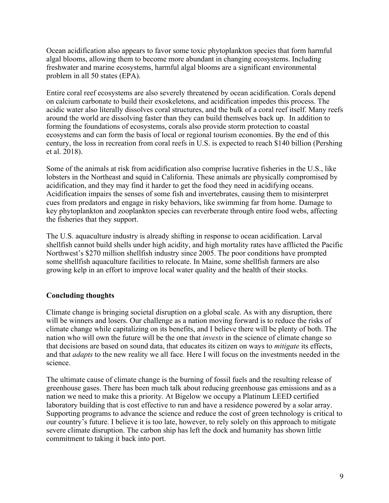Ocean acidification also appears to favor some toxic phytoplankton species that form harmful algal blooms, allowing them to become more abundant in changing ecosystems. Including freshwater and marine ecosystems, harmful algal blooms are a significant environmental problem in all 50 states (EPA).

Entire coral reef ecosystems are also severely threatened by ocean acidification. Corals depend on calcium carbonate to build their exoskeletons, and acidification impedes this process. The acidic water also literally dissolves coral structures, and the bulk of a coral reef itself. Many reefs around the world are dissolving faster than they can build themselves back up. In addition to forming the foundations of ecosystems, corals also provide storm protection to coastal ecosystems and can form the basis of local or regional tourism economies. By the end of this century, the loss in recreation from coral reefs in U.S. is expected to reach \$140 billion (Pershing et al. 2018).

Some of the animals at risk from acidification also comprise lucrative fisheries in the U.S., like lobsters in the Northeast and squid in California. These animals are physically compromised by acidification, and they may find it harder to get the food they need in acidifying oceans. Acidification impairs the senses of some fish and invertebrates, causing them to misinterpret cues from predators and engage in risky behaviors, like swimming far from home. Damage to key phytoplankton and zooplankton species can reverberate through entire food webs, affecting the fisheries that they support.

The U.S. aquaculture industry is already shifting in response to ocean acidification. Larval shellfish cannot build shells under high acidity, and high mortality rates have afflicted the Pacific Northwest's \$270 million shellfish industry since 2005. The poor conditions have prompted some shellfish aquaculture facilities to relocate. In Maine, some shellfish farmers are also growing kelp in an effort to improve local water quality and the health of their stocks.

# **Concluding thoughts**

Climate change is bringing societal disruption on a global scale. As with any disruption, there will be winners and losers. Our challenge as a nation moving forward is to reduce the risks of climate change while capitalizing on its benefits, and I believe there will be plenty of both. The nation who will own the future will be the one that *invests* in the science of climate change so that decisions are based on sound data, that educates its citizen on ways to *mitigate* its effects, and that *adapts* to the new reality we all face. Here I will focus on the investments needed in the science.

The ultimate cause of climate change is the burning of fossil fuels and the resulting release of greenhouse gases. There has been much talk about reducing greenhouse gas emissions and as a nation we need to make this a priority. At Bigelow we occupy a Platinum LEED certified laboratory building that is cost effective to run and have a residence powered by a solar array. Supporting programs to advance the science and reduce the cost of green technology is critical to our country's future. I believe it is too late, however, to rely solely on this approach to mitigate severe climate disruption. The carbon ship has left the dock and humanity has shown little commitment to taking it back into port.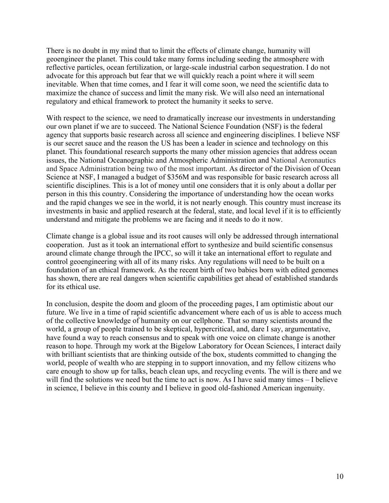There is no doubt in my mind that to limit the effects of climate change, humanity will geoengineer the planet. This could take many forms including seeding the atmosphere with reflective particles, ocean fertilization, or large-scale industrial carbon sequestration. I do not advocate for this approach but fear that we will quickly reach a point where it will seem inevitable. When that time comes, and I fear it will come soon, we need the scientific data to maximize the chance of success and limit the many risk. We will also need an international regulatory and ethical framework to protect the humanity it seeks to serve.

With respect to the science, we need to dramatically increase our investments in understanding our own planet if we are to succeed. The National Science Foundation (NSF) is the federal agency that supports basic research across all science and engineering disciplines. I believe NSF is our secret sauce and the reason the US has been a leader in science and technology on this planet. This foundational research supports the many other mission agencies that address ocean issues, the National Oceanographic and Atmospheric Administration and National Aeronautics and Space Administration being two of the most important. As director of the Division of Ocean Science at NSF, I managed a budget of \$356M and was responsible for basic research across all scientific disciplines. This is a lot of money until one considers that it is only about a dollar per person in this this country. Considering the importance of understanding how the ocean works and the rapid changes we see in the world, it is not nearly enough. This country must increase its investments in basic and applied research at the federal, state, and local level if it is to efficiently understand and mitigate the problems we are facing and it needs to do it now.

Climate change is a global issue and its root causes will only be addressed through international cooperation. Just as it took an international effort to synthesize and build scientific consensus around climate change through the IPCC, so will it take an international effort to regulate and control geoengineering with all of its many risks. Any regulations will need to be built on a foundation of an ethical framework. As the recent birth of two babies born with edited genomes has shown, there are real dangers when scientific capabilities get ahead of established standards for its ethical use.

In conclusion, despite the doom and gloom of the proceeding pages, I am optimistic about our future. We live in a time of rapid scientific advancement where each of us is able to access much of the collective knowledge of humanity on our cellphone. That so many scientists around the world, a group of people trained to be skeptical, hypercritical, and, dare I say, argumentative, have found a way to reach consensus and to speak with one voice on climate change is another reason to hope. Through my work at the Bigelow Laboratory for Ocean Sciences, I interact daily with brilliant scientists that are thinking outside of the box, students committed to changing the world, people of wealth who are stepping in to support innovation, and my fellow citizens who care enough to show up for talks, beach clean ups, and recycling events. The will is there and we will find the solutions we need but the time to act is now. As I have said many times – I believe in science, I believe in this county and I believe in good old-fashioned American ingenuity.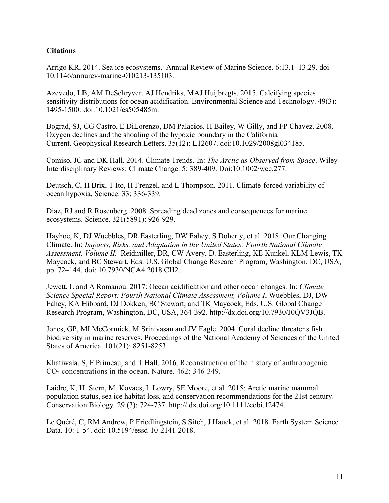## **Citations**

Arrigo KR, 2014. Sea ice ecosystems. Annual Review of Marine Science. 6:13.1–13.29. doi 10.1146/annurev-marine-010213-135103.

Azevedo, LB, AM DeSchryver, AJ Hendriks, MAJ Huijbregts. 2015. Calcifying species sensitivity distributions for ocean acidification. Environmental Science and Technology. 49(3): 1495-1500. doi:10.1021/es505485m.

Bograd, SJ, CG Castro, E DiLorenzo, DM Palacios, H Bailey, W Gilly, and FP Chavez. 2008. Oxygen declines and the shoaling of the hypoxic boundary in the California Current. Geophysical Research Letters. 35(12): L12607. doi:10.1029/2008gl034185.

Comiso, JC and DK Hall. 2014. Climate Trends. In: *The Arctic as Observed from Space*. Wiley Interdisciplinary Reviews: Climate Change. 5: 389-409. Doi:10.1002/wcc.277.

Deutsch, C, H Brix, T Ito, H Frenzel, and L Thompson. 2011. Climate-forced variability of ocean hypoxia. Science. 33: 336-339.

Diaz, RJ and R Rosenberg. 2008. Spreading dead zones and consequences for marine ecosystems. Science. 321(5891): 926-929.

Hayhoe, K, DJ Wuebbles, DR Easterling, DW Fahey, S Doherty, et al. 2018: Our Changing Climate. In: *Impacts, Risks, and Adaptation in the United States: Fourth National Climate Assessment, Volume II.* Reidmiller, DR, CW Avery, D. Easterling, KE Kunkel, KLM Lewis, TK Maycock, and BC Stewart, Eds. U.S. Global Change Research Program, Washington, DC, USA, pp. 72–144. doi: 10.7930/NCA4.2018.CH2.

Jewett, L and A Romanou. 2017: Ocean acidification and other ocean changes. In: *Climate Science Special Report: Fourth National Climate Assessment, Volume I*, Wuebbles, DJ, DW Fahey, KA Hibbard, DJ Dokken, BC Stewart, and TK Maycock, Eds. U.S. Global Change Research Program, Washington, DC, USA, 364-392. http://dx.doi.org/10.7930/J0QV3JQB.

Jones, GP, MI McCormick, M Srinivasan and JV Eagle. 2004. Coral decline threatens fish biodiversity in marine reserves. Proceedings of the National Academy of Sciences of the United States of America. 101(21): 8251-8253.

Khatiwala, S, F Primeau, and T Hall. 2016. Reconstruction of the history of anthropogenic CO2 concentrations in the ocean. Nature. 462: 346-349.

Laidre, K, H. Stern, M. Kovacs, L Lowry, SE Moore, et al. 2015: Arctic marine mammal population status, sea ice habitat loss, and conservation recommendations for the 21st century. Conservation Biology*.* 29 (3): 724-737. http:// dx.doi.org/10.1111/cobi.12474.

Le Quéré, C, RM Andrew, P Friedlingstein, S Sitch, J Hauck, et al. 2018. Earth System Science Data. 10: 1-54. doi: 10.5194/essd-10-2141-2018.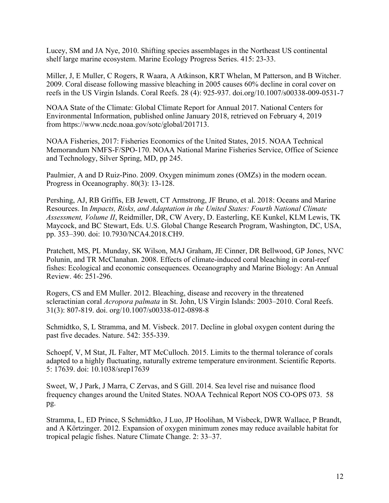Lucey, SM and JA Nye, 2010. Shifting species assemblages in the Northeast US continental shelf large marine ecosystem. Marine Ecology Progress Series. 415: 23-33.

Miller, J, E Muller, C Rogers, R Waara, A Atkinson, KRT Whelan, M Patterson, and B Witcher. 2009. Coral disease following massive bleaching in 2005 causes 60% decline in coral cover on reefs in the US Virgin Islands. Coral Reefs. 28 (4): 925-937. doi.org/10.1007/s00338-009-0531-7

NOAA State of the Climate: Global Climate Report for Annual 2017. National Centers for Environmental Information, published online January 2018, retrieved on February 4, 2019 from https://www.ncdc.noaa.gov/sotc/global/201713.

NOAA Fisheries, 2017: Fisheries Economics of the United States, 2015. NOAA Technical Memorandum NMFS-F/SPO-170. NOAA National Marine Fisheries Service, Office of Science and Technology, Silver Spring, MD, pp 245.

Paulmier, A and D Ruiz-Pino. 2009. Oxygen minimum zones (OMZs) in the modern ocean. Progress in Oceanography. 80(3): 13-128.

Pershing, AJ, RB Griffis, EB Jewett, CT Armstrong, JF Bruno, et al. 2018: Oceans and Marine Resources. In *Impacts, Risks, and Adaptation in the United States: Fourth National Climate Assessment, Volume II*, Reidmiller, DR, CW Avery, D. Easterling, KE Kunkel, KLM Lewis, TK Maycock, and BC Stewart, Eds. U.S. Global Change Research Program, Washington, DC, USA, pp. 353–390. doi: 10.7930/NCA4.2018.CH9.

Pratchett, MS, PL Munday, SK Wilson, MAJ Graham, JE Cinner, DR Bellwood, GP Jones, NVC Polunin, and TR McClanahan. 2008. Effects of climate-induced coral bleaching in coral-reef fishes: Ecological and economic consequences. Oceanography and Marine Biology: An Annual Review. 46: 251-296.

Rogers, CS and EM Muller. 2012. Bleaching, disease and recovery in the threatened scleractinian coral *Acropora palmata* in St. John, US Virgin Islands: 2003–2010. Coral Reefs. 31(3): 807-819. doi. org/10.1007/s00338-012-0898-8

Schmidtko, S, L Stramma, and M. Visbeck. 2017. Decline in global oxygen content during the past five decades. Nature. 542: 355-339.

Schoepf, V, M Stat, JL Falter, MT McCulloch. 2015. Limits to the thermal tolerance of corals adapted to a highly fluctuating, naturally extreme temperature environment. Scientific Reports. 5: 17639. doi: 10.1038/srep17639

Sweet, W, J Park, J Marra, C Zervas, and S Gill. 2014. Sea level rise and nuisance flood frequency changes around the United States. NOAA Technical Report NOS CO-OPS 073. 58 pg.

Stramma, L, ED Prince, S Schmidtko, J Luo, JP Hoolihan, M Visbeck, DWR Wallace, P Brandt, and A Körtzinger. 2012. Expansion of oxygen minimum zones may reduce available habitat for tropical pelagic fishes. Nature Climate Change. 2: 33–37.